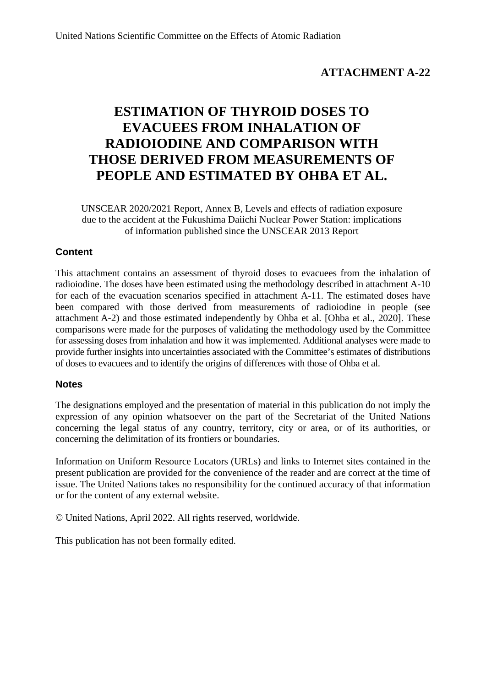#### **ATTACHMENT A-22**

# **ESTIMATION OF THYROID DOSES TO EVACUEES FROM INHALATION OF RADIOIODINE AND COMPARISON WITH THOSE DERIVED FROM MEASUREMENTS OF PEOPLE AND ESTIMATED BY OHBA ET AL.**

UNSCEAR 2020/2021 Report, Annex B, Levels and effects of radiation exposure due to the accident at the Fukushima Daiichi Nuclear Power Station: implications of information published since the UNSCEAR 2013 Report

#### **Content**

This attachment contains an assessment of thyroid doses to evacuees from the inhalation of radioiodine. The doses have been estimated using the methodology described in attachment A-10 for each of the evacuation scenarios specified in attachment A-11. The estimated doses have been compared with those derived from measurements of radioiodine in people (see attachment A-2) and those estimated independently by Ohba et al. [Ohba et al., 2020]. These comparisons were made for the purposes of validating the methodology used by the Committee for assessing doses from inhalation and how it was implemented. Additional analyses were made to provide further insights into uncertainties associated with the Committee's estimates of distributions of doses to evacuees and to identify the origins of differences with those of Ohba et al.

#### **Notes**

The designations employed and the presentation of material in this publication do not imply the expression of any opinion whatsoever on the part of the Secretariat of the United Nations concerning the legal status of any country, territory, city or area, or of its authorities, or concerning the delimitation of its frontiers or boundaries.

Information on Uniform Resource Locators (URLs) and links to Internet sites contained in the present publication are provided for the convenience of the reader and are correct at the time of issue. The United Nations takes no responsibility for the continued accuracy of that information or for the content of any external website.

© United Nations, April 2022. All rights reserved, worldwide.

This publication has not been formally edited.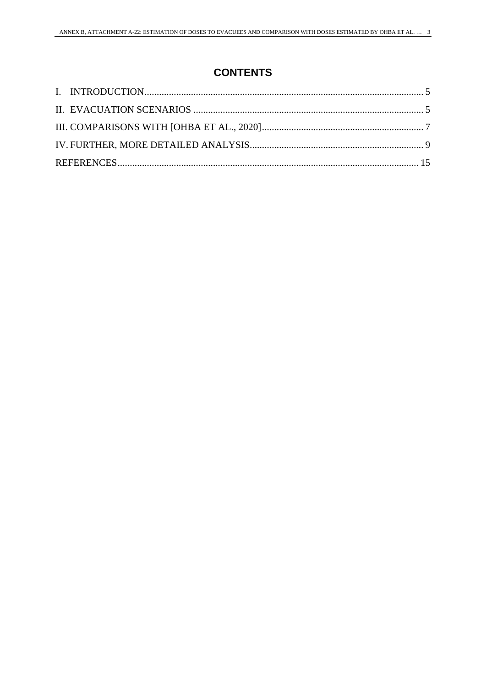## **CONTENTS**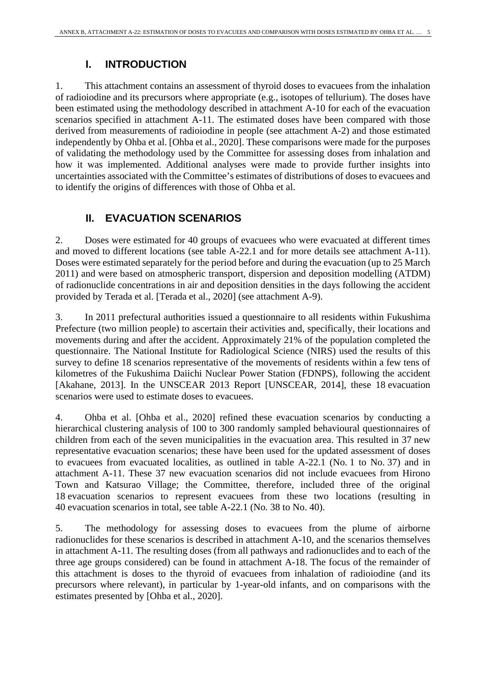## **I. INTRODUCTION**

1. This attachment contains an assessment of thyroid doses to evacuees from the inhalation of radioiodine and its precursors where appropriate (e.g., isotopes of tellurium). The doses have been estimated using the methodology described in attachment A-10 for each of the evacuation scenarios specified in attachment A-11. The estimated doses have been compared with those derived from measurements of radioiodine in people (see attachment A-2) and those estimated independently by Ohba et al. [Ohba et al., 2020]. These comparisons were made for the purposes of validating the methodology used by the Committee for assessing doses from inhalation and how it was implemented. Additional analyses were made to provide further insights into uncertainties associated with the Committee's estimates of distributions of doses to evacuees and to identify the origins of differences with those of Ohba et al.

## **II. EVACUATION SCENARIOS**

2. Doses were estimated for 40 groups of evacuees who were evacuated at different times and moved to different locations (see table A-22.1 and for more details see attachment A-11). Doses were estimated separately for the period before and during the evacuation (up to 25 March 2011) and were based on atmospheric transport, dispersion and deposition modelling (ATDM) of radionuclide concentrations in air and deposition densities in the days following the accident provided by Terada et al. [Terada et al., 2020] (see attachment A-9).

3. In 2011 prefectural authorities issued a questionnaire to all residents within Fukushima Prefecture (two million people) to ascertain their activities and, specifically, their locations and movements during and after the accident. Approximately 21% of the population completed the questionnaire. The National Institute for Radiological Science (NIRS) used the results of this survey to define 18 scenarios representative of the movements of residents within a few tens of kilometres of the Fukushima Daiichi Nuclear Power Station (FDNPS), following the accident [Akahane, 2013]. In the UNSCEAR 2013 Report [UNSCEAR, 2014], these 18 evacuation scenarios were used to estimate doses to evacuees.

4. Ohba et al. [Ohba et al., 2020] refined these evacuation scenarios by conducting a hierarchical clustering analysis of 100 to 300 randomly sampled behavioural questionnaires of children from each of the seven municipalities in the evacuation area. This resulted in 37 new representative evacuation scenarios; these have been used for the updated assessment of doses to evacuees from evacuated localities, as outlined in table A-22.1 (No. 1 to No. 37) and in attachment A-11. These 37 new evacuation scenarios did not include evacuees from Hirono Town and Katsurao Village; the Committee, therefore, included three of the original 18 evacuation scenarios to represent evacuees from these two locations (resulting in 40 evacuation scenarios in total, see table A-22.1 (No. 38 to No. 40).

5. The methodology for assessing doses to evacuees from the plume of airborne radionuclides for these scenarios is described in attachment A-10, and the scenarios themselves in attachment A-11. The resulting doses (from all pathways and radionuclides and to each of the three age groups considered) can be found in attachment A-18. The focus of the remainder of this attachment is doses to the thyroid of evacuees from inhalation of radioiodine (and its precursors where relevant), in particular by 1-year-old infants, and on comparisons with the estimates presented by [Ohba et al., 2020].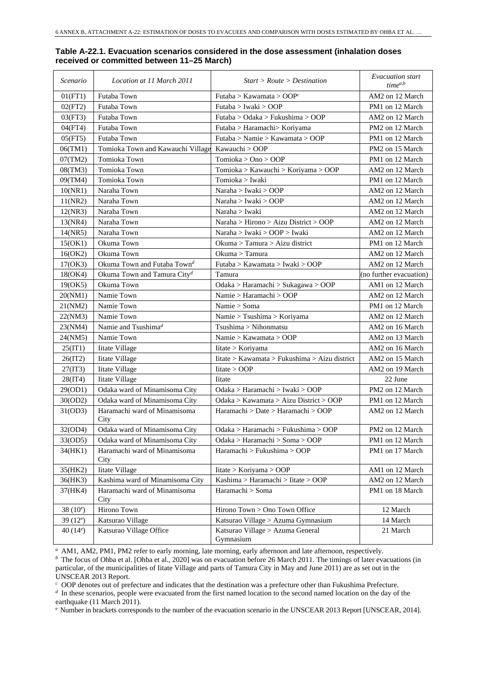| Scenario    | Location at 11 March 2011               | Start > Route > Destination                   | <i>Evacuation start</i><br>$time^{a,b}$ |
|-------------|-----------------------------------------|-----------------------------------------------|-----------------------------------------|
| 01(FT1)     | Futaba Town                             | Futaba > Kawamata > $OOPc$                    | AM2 on 12 March                         |
| 02(FT2)     | Futaba Town                             | Futaba > Iwaki > OOP                          | PM1 on 12 March                         |
| 03(FT3)     | Futaba Town                             | Futaba > Odaka > Fukushima > OOP              | AM2 on 12 March                         |
| 04(FT4)     | Futaba Town                             | Futaba > Haramachi > Koriyama                 | PM2 on 12 March                         |
| 05(FT5)     | Futaba Town                             | Futaba > Namie > Kawamata > OOP               | PM1 on 12 March                         |
| 06(TM1)     | Tomioka Town and Kawauchi Village       | Kawauchi > OOP                                | PM2 on 15 March                         |
| 07(TM2)     | Tomioka Town                            | Tomioka > Ono > OOP                           | PM1 on 12 March                         |
| 08(TM3)     | Tomioka Town                            | Tomioka > Kawauchi > Koriyama > OOP           | AM2 on 12 March                         |
| 09(TM4)     | Tomioka Town                            | Tomioka > Iwaki                               | PM1 on 12 March                         |
| 10(NR1)     | Naraha Town                             | Naraha > Iwaki > OOP                          | AM2 on 12 March                         |
| 11(NR2)     | Naraha Town                             | Naraha > Iwaki > OOP                          | AM2 on 12 March                         |
| 12(NR3)     | Naraha Town                             | Naraha > Iwaki                                | AM2 on 12 March                         |
| 13(NR4)     | Naraha Town                             | Naraha > Hirono > Aizu District > OOP         | AM2 on 12 March                         |
| 14(NR5)     | Naraha Town                             | Naraha > Iwaki > OOP > Iwaki                  | AM2 on 12 March                         |
| 15(OK1)     | Okuma Town                              | Okuma > Tamura > Aizu district                | PM1 on 12 March                         |
| 16(OK2)     | Okuma Town                              | Okuma > Tamura                                | AM2 on 12 March                         |
| 17(OK3)     | Okuma Town and Futaba Town <sup>d</sup> | Futaba > Kawamata > Iwaki > OOP               | AM2 on 12 March                         |
| 18(OK4)     | Okuma Town and Tamura $\mathrm{City}^d$ | Tamura                                        | (no further evacuation)                 |
| 19(OK5)     | Okuma Town                              | Odaka > Haramachi > Sukagawa > OOP            | AM1 on 12 March                         |
| 20(NM1)     | Namie Town                              | Namie > Haramachi > OOP                       | AM2 on 12 March                         |
| 21(NM2)     | Namie Town                              | Namie > Soma                                  | PM1 on 12 March                         |
| 22(NM3)     | Namie Town                              | Namie > Tsushima > Koriyama                   | AM2 on 12 March                         |
| 23(NM4)     | Namie and Tsushima <sup>d</sup>         | Tsushima > Nihonmatsu                         | AM2 on 16 March                         |
| 24(NM5)     | Namie Town                              | Namie > Kawamata > OOP                        | AM2 on 13 March                         |
| 25(1T1)     | Iitate Village                          | Iitate > Koriyama                             | AM2 on 16 March                         |
| 26(1T2)     | <b>Iitate Village</b>                   | Iitate > Kawamata > Fukushima > Aizu district | AM2 on 15 March                         |
| 27(1T3)     | Iitate Village                          | litate > OOP                                  | AM2 on 19 March                         |
| 28(1T4)     | Iitate Village                          | <b>I</b> itate                                | 22 June                                 |
| 29(OD1)     | Odaka ward of Minamisoma City           | Odaka > Haramachi > Iwaki > OOP               | PM2 on 12 March                         |
| 30(OD2)     | Odaka ward of Minamisoma City           | Odaka > Kawamata > Aizu District > OOP        | PM1 on 12 March                         |
| 31(OD3)     | Haramachi ward of Minamisoma<br>City    | Haramachi > Date > Haramachi > OOP            | AM2 on 12 March                         |
| 32(OD4)     | Odaka ward of Minamisoma City           | Odaka > Haramachi > Fukushima > OOP           | PM2 on 12 March                         |
| 33(OD5)     | Odaka ward of Minamisoma City           | Odaka > Haramachi > Soma > OOP                | PM1 on 12 March                         |
| 34(HK1)     | Haramachi ward of Minamisoma<br>City    | Haramachi > Fukushima > OOP                   | PM1 on 17 March                         |
| 35(HK2)     | Iitate Village                          | litate > Koriyama > OOP                       | AM1 on 12 March                         |
| 36(HK3)     | Kashima ward of Minamisoma City         | Kashima > Haramachi > Iitate > OOP            | AM2 on 12 March                         |
| 37(HK4)     | Haramachi ward of Minamisoma<br>City    | Haramachi > Soma                              | PM1 on 18 March                         |
| 38 $(10^e)$ | Hirono Town                             | Hirono Town > Ono Town Office                 | 12 March                                |
| 39 $(12^e)$ | Katsurao Village                        | Katsurao Village > Azuma Gymnasium            | 14 March                                |
| 40 $(14e)$  | Katsurao Village Office                 | Katsurao Village > Azuma General<br>Gymnasium | 21 March                                |

#### **Table A-22.1. Evacuation scenarios considered in the dose assessment (inhalation doses received or committed between 11–25 March)**

*<sup>a</sup>* AM1, AM2, PM1, PM2 refer to early morning, late morning, early afternoon and late afternoon, respectively.

*b* The focus of Ohba et al. [Ohba et al., 2020] was on evacuation before 26 March 2011. The timings of later evacuations (in particular, of the municipalities of Iitate Village and parts of Tamura City in May and June 2011) are as set out in the UNSCEAR 2013 Report.

*<sup>c</sup>* OOP denotes out of prefecture and indicates that the destination was a prefecture other than Fukushima Prefecture.

*d* In these scenarios, people were evacuated from the first named location to the second named location on the day of the earthquake (11 March 2011).

*<sup>e</sup>* Number in brackets corresponds to the number of the evacuation scenario in the UNSCEAR 2013 Report [UNSCEAR, 2014].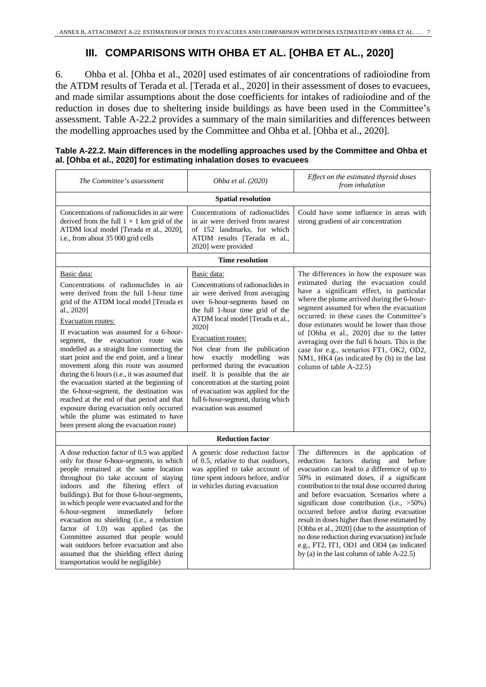## **III. COMPARISONS WITH OHBA ET AL. [OHBA ET AL., 2020]**

6. Ohba et al. [Ohba et al., 2020] used estimates of air concentrations of radioiodine from the ATDM results of Terada et al. [Terada et al., 2020] in their assessment of doses to evacuees, and made similar assumptions about the dose coefficients for intakes of radioiodine and of the reduction in doses due to sheltering inside buildings as have been used in the Committee's assessment. Table A-22.2 provides a summary of the main similarities and differences between the modelling approaches used by the Committee and Ohba et al. [Ohba et al., 2020].

| The Committee's assessment                                                                                                                                                                                                                                                                                                                                                                                                                                                                                                                                                                                                                                                                                                    | Ohba et al. (2020)                                                                                                                                                                                                                                                                                                                                                                                                                                                                                                  | Effect on the estimated thyroid doses<br>from inhalation                                                                                                                                                                                                                                                                                                                                                                                                                                                                                                                                                                 |  |  |  |  |  |  |
|-------------------------------------------------------------------------------------------------------------------------------------------------------------------------------------------------------------------------------------------------------------------------------------------------------------------------------------------------------------------------------------------------------------------------------------------------------------------------------------------------------------------------------------------------------------------------------------------------------------------------------------------------------------------------------------------------------------------------------|---------------------------------------------------------------------------------------------------------------------------------------------------------------------------------------------------------------------------------------------------------------------------------------------------------------------------------------------------------------------------------------------------------------------------------------------------------------------------------------------------------------------|--------------------------------------------------------------------------------------------------------------------------------------------------------------------------------------------------------------------------------------------------------------------------------------------------------------------------------------------------------------------------------------------------------------------------------------------------------------------------------------------------------------------------------------------------------------------------------------------------------------------------|--|--|--|--|--|--|
| <b>Spatial resolution</b>                                                                                                                                                                                                                                                                                                                                                                                                                                                                                                                                                                                                                                                                                                     |                                                                                                                                                                                                                                                                                                                                                                                                                                                                                                                     |                                                                                                                                                                                                                                                                                                                                                                                                                                                                                                                                                                                                                          |  |  |  |  |  |  |
| Concentrations of radionuclides in air were<br>derived from the full $1 \times 1$ km grid of the<br>ATDM local model [Terada et al., 2020],<br>i.e., from about 35 000 grid cells                                                                                                                                                                                                                                                                                                                                                                                                                                                                                                                                             | Concentrations of radionuclides<br>in air were derived from nearest<br>of 152 landmarks, for which<br>ATDM results [Terada et al.,<br>2020] were provided                                                                                                                                                                                                                                                                                                                                                           | Could have some influence in areas with<br>strong gradient of air concentration                                                                                                                                                                                                                                                                                                                                                                                                                                                                                                                                          |  |  |  |  |  |  |
|                                                                                                                                                                                                                                                                                                                                                                                                                                                                                                                                                                                                                                                                                                                               | <b>Time resolution</b>                                                                                                                                                                                                                                                                                                                                                                                                                                                                                              |                                                                                                                                                                                                                                                                                                                                                                                                                                                                                                                                                                                                                          |  |  |  |  |  |  |
| Basic data:<br>Concentrations of radionuclides in air<br>were derived from the full 1-hour time<br>grid of the ATDM local model [Terada et<br>al., 2020]<br>Evacuation routes:<br>If evacuation was assumed for a 6-hour-<br>segment, the evacuation route was<br>modelled as a straight line connecting the<br>start point and the end point, and a linear<br>movement along this route was assumed<br>during the 6 hours (i.e., it was assumed that<br>the evacuation started at the beginning of<br>the 6-hour-segment, the destination was<br>reached at the end of that period and that<br>exposure during evacuation only occurred<br>while the plume was estimated to have<br>been present along the evacuation route) | Basic data:<br>Concentrations of radionuclides in<br>air were derived from averaging<br>over 6-hour-segments based on<br>the full 1-hour time grid of the<br>ATDM local model [Terada et al.,<br>2020]<br>Evacuation routes:<br>Not clear from the publication<br>how exactly modelling<br>was<br>performed during the evacuation<br>itself. It is possible that the air<br>concentration at the starting point<br>of evacuation was applied for the<br>full 6-hour-segment, during which<br>evacuation was assumed | The differences in how the exposure was<br>estimated during the evacuation could<br>have a significant effect, in particular<br>where the plume arrived during the 6-hour-<br>segment assumed for when the evacuation<br>occurred: in these cases the Committee's<br>dose estimates would be lower than those<br>of [Ohba et al., 2020] due to the latter<br>averaging over the full 6 hours. This is the<br>case for e.g., scenarios FT1, OK2, OD2,<br>NM1, HK4 (as indicated by (b) in the last<br>column of table A-22.5)                                                                                             |  |  |  |  |  |  |
|                                                                                                                                                                                                                                                                                                                                                                                                                                                                                                                                                                                                                                                                                                                               | <b>Reduction factor</b>                                                                                                                                                                                                                                                                                                                                                                                                                                                                                             |                                                                                                                                                                                                                                                                                                                                                                                                                                                                                                                                                                                                                          |  |  |  |  |  |  |
| A dose reduction factor of 0.5 was applied<br>only for those 6-hour-segments, in which<br>people remained at the same location<br>throughout (to take account of staying<br>indoors and the filtering effect of<br>buildings). But for those 6-hour-segments,<br>in which people were evacuated and for the<br>6-hour-segment<br>immediately<br>before<br>evacuation no shielding (i.e., a reduction<br>factor of 1.0) was applied (as the<br>Committee assumed that people would<br>wait outdoors before evacuation and also<br>assumed that the shielding effect during<br>transportation would be negligible)                                                                                                              | A generic dose reduction factor<br>of 0.5, relative to that outdoors,<br>was applied to take account of<br>time spent indoors before, and/or<br>in vehicles during evacuation                                                                                                                                                                                                                                                                                                                                       | The differences in the application of<br>reduction factors<br>and before<br>during<br>evacuation can lead to a difference of up to<br>50% in estimated doses, if a significant<br>contribution to the total dose occurred during<br>and before evacuation. Scenarios where a<br>significant dose contribution (i.e., $>50\%$ )<br>occurred before and/or during evacuation<br>result in doses higher than those estimated by<br>[Ohba et al., 2020] (due to the assumption of<br>no dose reduction during evacuation) include<br>e.g., FT2, IT1, OD1 and OD4 (as indicated<br>by (a) in the last column of table A-22.5) |  |  |  |  |  |  |

| Table A-22.2. Main differences in the modelling approaches used by the Committee and Ohba et |
|----------------------------------------------------------------------------------------------|
| al. [Ohba et al., 2020] for estimating inhalation doses to evacuees                          |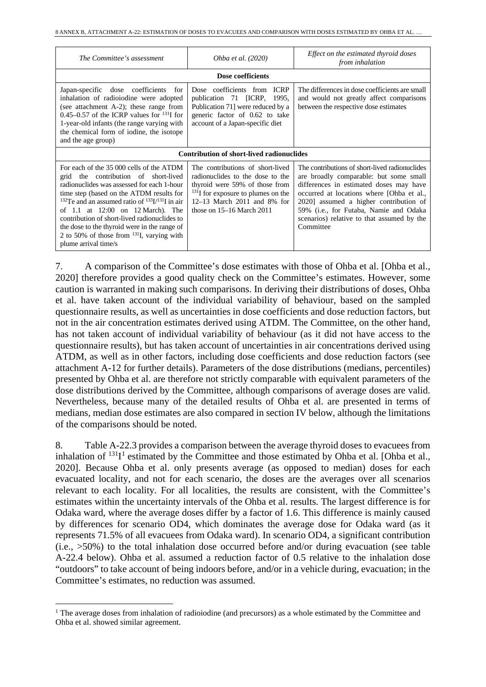| The Committee's assessment                                                                                                                                                                                                                                                                                                                                                                                                                                                            | Ohba et al. (2020)                                                                                                                                                                                                 | Effect on the estimated thyroid doses<br>from inhalation                                                                                                                                                                                                                                                                        |  |
|---------------------------------------------------------------------------------------------------------------------------------------------------------------------------------------------------------------------------------------------------------------------------------------------------------------------------------------------------------------------------------------------------------------------------------------------------------------------------------------|--------------------------------------------------------------------------------------------------------------------------------------------------------------------------------------------------------------------|---------------------------------------------------------------------------------------------------------------------------------------------------------------------------------------------------------------------------------------------------------------------------------------------------------------------------------|--|
|                                                                                                                                                                                                                                                                                                                                                                                                                                                                                       | Dose coefficients                                                                                                                                                                                                  |                                                                                                                                                                                                                                                                                                                                 |  |
| Japan-specific dose coefficients<br>for<br>inhalation of radioiodine were adopted<br>(see attachment A-2); these range from<br>0.45–0.57 of the ICRP values for $^{131}$ I for<br>1-year-old infants (the range varying with<br>the chemical form of iodine, the isotope<br>and the age group)                                                                                                                                                                                        | Dose coefficients from ICRP<br>publication 71 [ICRP, 1995,<br>Publication 71] were reduced by a<br>generic factor of 0.62 to take<br>account of a Japan-specific diet                                              | The differences in dose coefficients are small<br>and would not greatly affect comparisons<br>between the respective dose estimates                                                                                                                                                                                             |  |
|                                                                                                                                                                                                                                                                                                                                                                                                                                                                                       | <b>Contribution of short-lived radionuclides</b>                                                                                                                                                                   |                                                                                                                                                                                                                                                                                                                                 |  |
| For each of the 35 000 cells of the ATDM<br>grid the contribution of short-lived<br>radionuclides was assessed for each 1-hour<br>time step (based on the ATDM results for<br><sup>132</sup> Te and an assumed ratio of <sup>133</sup> I/ <sup>131</sup> I in air<br>of 1.1 at $12:00$ on $12$ March). The<br>contribution of short-lived radionuclides to<br>the dose to the thyroid were in the range of<br>2 to 50% of those from $^{131}I$ , varying with<br>plume arrival time/s | The contributions of short-lived<br>radionuclides to the dose to the<br>thyroid were 59% of those from<br>$^{131}$ I for exposure to plumes on the<br>12–13 March 2011 and 8% for<br>those on $15-16$ March $2011$ | The contributions of short-lived radionuclides<br>are broadly comparable: but some small<br>differences in estimated doses may have<br>occurred at locations where [Ohba et al.,<br>2020] assumed a higher contribution of<br>59% (i.e., for Futaba, Namie and Odaka<br>scenarios) relative to that assumed by the<br>Committee |  |

7. A comparison of the Committee's dose estimates with those of Ohba et al. [Ohba et al., 2020] therefore provides a good quality check on the Committee's estimates. However, some caution is warranted in making such comparisons. In deriving their distributions of doses, Ohba et al. have taken account of the individual variability of behaviour, based on the sampled questionnaire results, as well as uncertainties in dose coefficients and dose reduction factors, but not in the air concentration estimates derived using ATDM. The Committee, on the other hand, has not taken account of individual variability of behaviour (as it did not have access to the questionnaire results), but has taken account of uncertainties in air concentrations derived using ATDM, as well as in other factors, including dose coefficients and dose reduction factors (see attachment A-12 for further details). Parameters of the dose distributions (medians, percentiles) presented by Ohba et al. are therefore not strictly comparable with equivalent parameters of the dose distributions derived by the Committee, although comparisons of average doses are valid. Nevertheless, because many of the detailed results of Ohba et al. are presented in terms of medians, median dose estimates are also compared in section IV below, although the limitations of the comparisons should be noted.

8. Table A-22.3 provides a comparison between the average thyroid doses to evacuees from inhalation of  $^{131}I^1$  $^{131}I^1$  $^{131}I^1$  estimated by the Committee and those estimated by Ohba et al. [Ohba et al., 2020]. Because Ohba et al. only presents average (as opposed to median) doses for each evacuated locality, and not for each scenario, the doses are the averages over all scenarios relevant to each locality. For all localities, the results are consistent, with the Committee's estimates within the uncertainty intervals of the Ohba et al. results. The largest difference is for Odaka ward, where the average doses differ by a factor of 1.6. This difference is mainly caused by differences for scenario OD4, which dominates the average dose for Odaka ward (as it represents 71.5% of all evacuees from Odaka ward). In scenario OD4, a significant contribution (i.e., >50%) to the total inhalation dose occurred before and/or during evacuation (see table A-22.4 below). Ohba et al. assumed a reduction factor of 0.5 relative to the inhalation dose "outdoors" to take account of being indoors before, and/or in a vehicle during, evacuation; in the Committee's estimates, no reduction was assumed.

<span id="page-7-0"></span><sup>&</sup>lt;sup>1</sup> The average doses from inhalation of radioiodine (and precursors) as a whole estimated by the Committee and Ohba et al. showed similar agreement.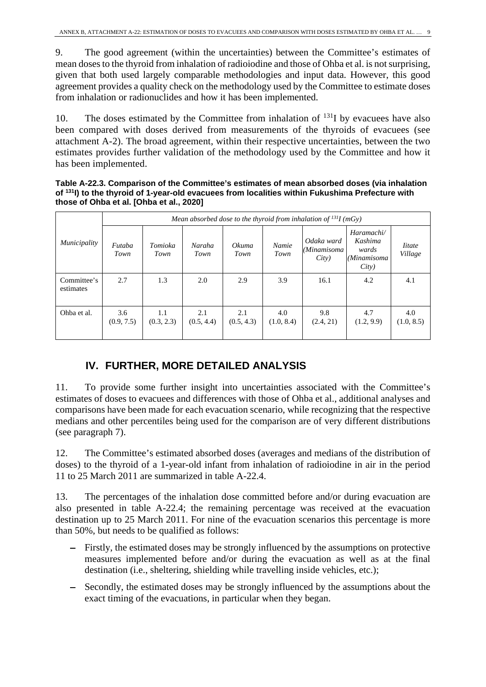9. The good agreement (within the uncertainties) between the Committee's estimates of mean doses to the thyroid from inhalation of radioiodine and those of Ohba et al. is not surprising, given that both used largely comparable methodologies and input data. However, this good agreement provides a quality check on the methodology used by the Committee to estimate doses from inhalation or radionuclides and how it has been implemented.

10. The doses estimated by the Committee from inhalation of  $^{131}I$  by evacuees have also been compared with doses derived from measurements of the thyroids of evacuees (see attachment A-2). The broad agreement, within their respective uncertainties, between the two estimates provides further validation of the methodology used by the Committee and how it has been implemented.

**Table A-22.3. Comparison of the Committee's estimates of mean absorbed doses (via inhalation of 131I) to the thyroid of 1-year-old evacuees from localities within Fukushima Prefecture with those of Ohba et al. [Ohba et al., 2020]**

|                          | Mean absorbed dose to the thyroid from inhalation of $^{131}I$ (mGy) |                   |                   |                   |                   |                                    |                                                        |                          |
|--------------------------|----------------------------------------------------------------------|-------------------|-------------------|-------------------|-------------------|------------------------------------|--------------------------------------------------------|--------------------------|
| Municipality             | Futaba<br>Town                                                       | Tomioka<br>Town   | Naraha<br>Town    | Okuma<br>Town     | Namie<br>Town     | Odaka ward<br>(Minamisoma<br>City) | Haramachi/<br>Kashima<br>wards<br>(Minamisoma<br>City) | <i>litate</i><br>Village |
| Committee's<br>estimates | 2.7                                                                  | 1.3               | 2.0               | 2.9               | 3.9               | 16.1                               | 4.2                                                    | 4.1                      |
| Ohba et al.              | 3.6<br>(0.9, 7.5)                                                    | 1.1<br>(0.3, 2.3) | 2.1<br>(0.5, 4.4) | 2.1<br>(0.5, 4.3) | 4.0<br>(1.0, 8.4) | 9.8<br>(2.4, 21)                   | 4.7<br>(1.2, 9.9)                                      | 4.0<br>(1.0, 8.5)        |

## **IV. FURTHER, MORE DETAILED ANALYSIS**

11. To provide some further insight into uncertainties associated with the Committee's estimates of doses to evacuees and differences with those of Ohba et al., additional analyses and comparisons have been made for each evacuation scenario, while recognizing that the respective medians and other percentiles being used for the comparison are of very different distributions (see paragraph 7).

12. The Committee's estimated absorbed doses (averages and medians of the distribution of doses) to the thyroid of a 1-year-old infant from inhalation of radioiodine in air in the period 11 to 25 March 2011 are summarized in table A-22.4.

13. The percentages of the inhalation dose committed before and/or during evacuation are also presented in table A-22.4; the remaining percentage was received at the evacuation destination up to 25 March 2011. For nine of the evacuation scenarios this percentage is more than 50%, but needs to be qualified as follows:

- − Firstly, the estimated doses may be strongly influenced by the assumptions on protective measures implemented before and/or during the evacuation as well as at the final destination (i.e., sheltering, shielding while travelling inside vehicles, etc.);
- − Secondly, the estimated doses may be strongly influenced by the assumptions about the exact timing of the evacuations, in particular when they began.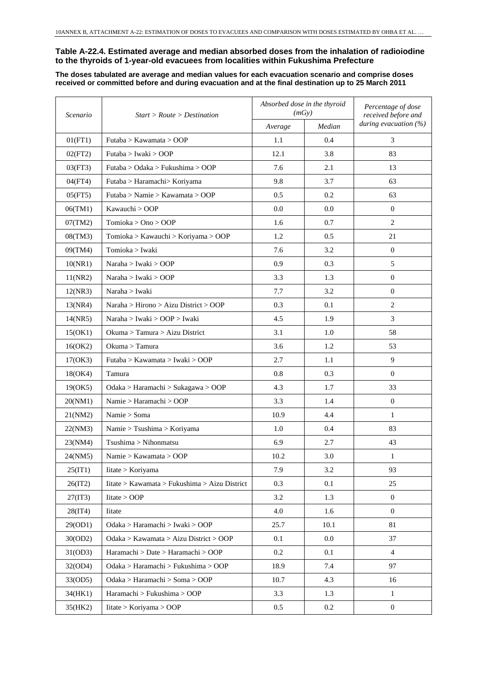#### **Table A-22.4. Estimated average and median absorbed doses from the inhalation of radioiodine to the thyroids of 1-year-old evacuees from localities within Fukushima Prefecture**

**The doses tabulated are average and median values for each evacuation scenario and comprise doses received or committed before and during evacuation and at the final destination up to 25 March 2011**

| Scenario | Start > Route > Destination                   | Absorbed dose in the thyroid<br>(mGy) |        | Percentage of dose<br>received before and |  |
|----------|-----------------------------------------------|---------------------------------------|--------|-------------------------------------------|--|
|          |                                               | Average                               | Median | during evacuation (%)                     |  |
| 01(FT1)  | Futaba > Kawamata > OOP                       | 1.1                                   | 0.4    | 3                                         |  |
| 02(FT2)  | Futaba > Iwaki > OOP                          | 12.1                                  | 3.8    | 83                                        |  |
| 03(FT3)  | Futaba > Odaka > Fukushima > OOP              | 7.6                                   | 2.1    | 13                                        |  |
| 04(FT4)  | Futaba > Haramachi> Koriyama                  | 9.8                                   | 3.7    | 63                                        |  |
| 05(FT5)  | Futaba > Namie > Kawamata > OOP               | 0.5                                   | 0.2    | 63                                        |  |
| 06(TM1)  | Kawauchi > OOP                                | 0.0                                   | 0.0    | $\overline{0}$                            |  |
| 07(TM2)  | Tomioka > Ono > OOP                           | 1.6                                   | 0.7    | 2                                         |  |
| 08(TM3)  | Tomioka > Kawauchi > Koriyama > OOP           | 1.2                                   | 0.5    | 21                                        |  |
| 09(TM4)  | Tomioka > Iwaki                               | 7.6                                   | 3.2    | $\overline{0}$                            |  |
| 10(NR1)  | Naraha > Iwaki > OOP                          | 0.9                                   | 0.3    | 5                                         |  |
| 11(NR2)  | Naraha > Iwaki > OOP                          | 3.3                                   | 1.3    | $\overline{0}$                            |  |
| 12(NR3)  | Naraha > Iwaki                                | 7.7                                   | 3.2    | $\theta$                                  |  |
| 13(NR4)  | Naraha > Hirono > Aizu District > OOP         | 0.3                                   | 0.1    | 2                                         |  |
| 14(NR5)  | Naraha > Iwaki > OOP > Iwaki                  | 4.5                                   | 1.9    | 3                                         |  |
| 15(OK1)  | Okuma > Tamura > Aizu District                | 3.1                                   | 1.0    | 58                                        |  |
| 16(OK2)  | Okuma > Tamura                                | 3.6                                   | 1.2    | 53                                        |  |
| 17(OK3)  | Futaba > Kawamata > Iwaki > OOP               | 2.7                                   | 1.1    | 9                                         |  |
| 18(OK4)  | Tamura                                        | 0.8                                   | 0.3    | $\overline{0}$                            |  |
| 19(OK5)  | Odaka > Haramachi > Sukagawa > OOP            | 4.3                                   | 1.7    | 33                                        |  |
| 20(NM1)  | Namie > Haramachi > OOP                       | 3.3                                   | 1.4    | $\overline{0}$                            |  |
| 21(NM2)  | Namie > Soma                                  | 10.9                                  | 4.4    | $\mathbf{1}$                              |  |
| 22(NM3)  | Namie > Tsushima > Koriyama                   | 1.0                                   | 0.4    | 83                                        |  |
| 23(NM4)  | Tsushima > Nihonmatsu                         | 6.9                                   | 2.7    | 43                                        |  |
| 24(NM5)  | Namie > Kawamata > OOP                        | 10.2                                  | 3.0    | $\mathbf{1}$                              |  |
| 25(IT1)  | Iitate > Koriyama                             | 7.9                                   | 3.2    | 93                                        |  |
| 26(1T2)  | Iitate > Kawamata > Fukushima > Aizu District | 0.3                                   | 0.1    | 25                                        |  |
| 27(1T3)  | Iitate > OOP                                  | 3.2                                   | 1.3    | $\overline{0}$                            |  |
| 28(1T4)  | Iitate                                        | 4.0                                   | 1.6    | $\overline{0}$                            |  |
| 29(OD1)  | Odaka > Haramachi > Iwaki > OOP               | 25.7                                  | 10.1   | 81                                        |  |
| 30(OD2)  | Odaka > Kawamata > Aizu District > OOP        | 0.1                                   | 0.0    | 37                                        |  |
| 31(OD3)  | Haramachi > Date > Haramachi > OOP            | 0.2                                   | 0.1    | $\overline{4}$                            |  |
| 32(OD4)  | Odaka > Haramachi > Fukushima > OOP           | 18.9                                  | 7.4    | 97                                        |  |
| 33(OD5)  | Odaka > Haramachi > Soma > OOP                | 10.7                                  | 4.3    | 16                                        |  |
| 34(HK1)  | Haramachi > Fukushima > OOP                   | 3.3                                   | 1.3    | $\mathbf{1}$                              |  |
| 35(HK2)  | Iitate > Koriyama > OOP                       | 0.5                                   | 0.2    | $\mathbf{0}$                              |  |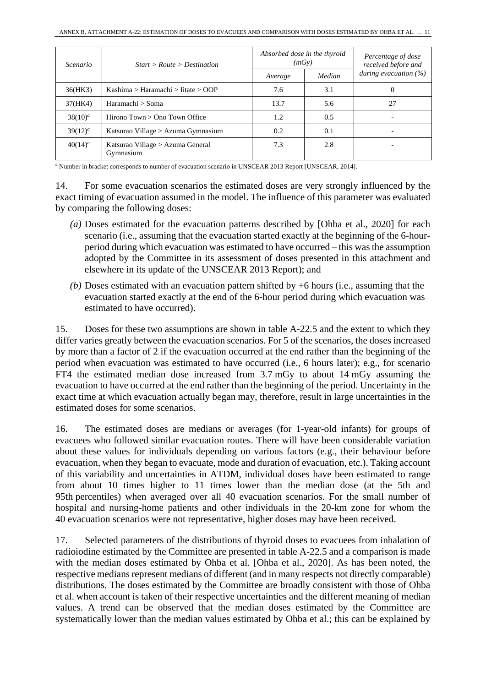| Scenario                                                    | Start > Route > Destination        | Absorbed dose in the thyroid<br>(mGy) |        | Percentage of dose<br>received before and |  |
|-------------------------------------------------------------|------------------------------------|---------------------------------------|--------|-------------------------------------------|--|
|                                                             |                                    | Average                               | Median | during evacuation $(%)$                   |  |
| 36(HK3)                                                     | Kashima > Haramachi > Iitate > OOP | 7.6                                   | 3.1    | O                                         |  |
| 37(HK4)                                                     | Haramachi > Soma                   | 13.7                                  | 5.6    | 27                                        |  |
| $38(10)^a$                                                  | Hirono $Town > Ono$ Town Office    | 1.2                                   | 0.5    |                                           |  |
| $39(12)^a$                                                  | Katsurao Village > Azuma Gymnasium |                                       | 0.1    |                                           |  |
| $40(14)^a$<br>Katsurao Village > Azuma General<br>Gymnasium |                                    | 7.3                                   | 2.8    |                                           |  |

*<sup>a</sup>* Number in bracket corresponds to number of evacuation scenario in UNSCEAR 2013 Report [UNSCEAR, 2014].

14. For some evacuation scenarios the estimated doses are very strongly influenced by the exact timing of evacuation assumed in the model. The influence of this parameter was evaluated by comparing the following doses:

- *(a)* Doses estimated for the evacuation patterns described by [Ohba et al., 2020] for each scenario (i.e., assuming that the evacuation started exactly at the beginning of the 6-hourperiod during which evacuation was estimated to have occurred – this was the assumption adopted by the Committee in its assessment of doses presented in this attachment and elsewhere in its update of the UNSCEAR 2013 Report); and
- *(b)* Doses estimated with an evacuation pattern shifted by +6 hours (i.e., assuming that the evacuation started exactly at the end of the 6-hour period during which evacuation was estimated to have occurred).

15. Doses for these two assumptions are shown in table A-22.5 and the extent to which they differ varies greatly between the evacuation scenarios. For 5 of the scenarios, the doses increased by more than a factor of 2 if the evacuation occurred at the end rather than the beginning of the period when evacuation was estimated to have occurred (i.e., 6 hours later); e.g., for scenario FT4 the estimated median dose increased from 3.7 mGy to about 14 mGy assuming the evacuation to have occurred at the end rather than the beginning of the period. Uncertainty in the exact time at which evacuation actually began may, therefore, result in large uncertainties in the estimated doses for some scenarios.

16. The estimated doses are medians or averages (for 1-year-old infants) for groups of evacuees who followed similar evacuation routes. There will have been considerable variation about these values for individuals depending on various factors (e.g., their behaviour before evacuation, when they began to evacuate, mode and duration of evacuation, etc.). Taking account of this variability and uncertainties in ATDM, individual doses have been estimated to range from about 10 times higher to 11 times lower than the median dose (at the 5th and 95th percentiles) when averaged over all 40 evacuation scenarios. For the small number of hospital and nursing-home patients and other individuals in the 20-km zone for whom the 40 evacuation scenarios were not representative, higher doses may have been received.

17. Selected parameters of the distributions of thyroid doses to evacuees from inhalation of radioiodine estimated by the Committee are presented in table A-22.5 and a comparison is made with the median doses estimated by Ohba et al. [Ohba et al., 2020]. As has been noted, the respective medians represent medians of different (and in many respects not directly comparable) distributions. The doses estimated by the Committee are broadly consistent with those of Ohba et al. when account is taken of their respective uncertainties and the different meaning of median values. A trend can be observed that the median doses estimated by the Committee are systematically lower than the median values estimated by Ohba et al.; this can be explained by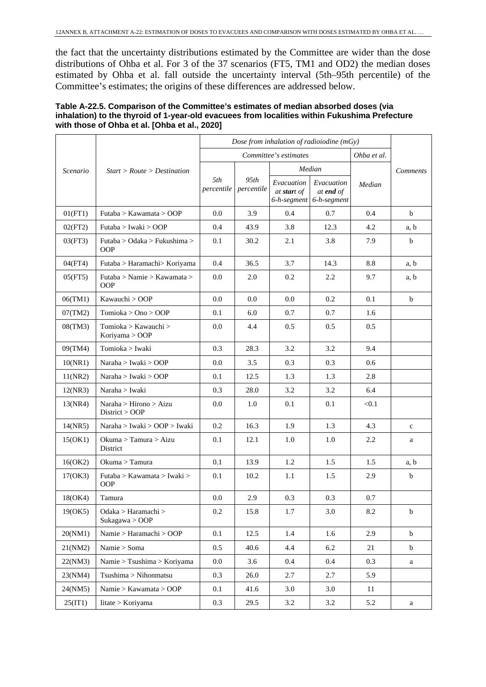the fact that the uncertainty distributions estimated by the Committee are wider than the dose distributions of Ohba et al. For 3 of the 37 scenarios (FT5, TM1 and OD2) the median doses estimated by Ohba et al. fall outside the uncertainty interval (5th–95th percentile) of the Committee's estimates; the origins of these differences are addressed below.

| Table A-22.5. Comparison of the Committee's estimates of median absorbed doses (via           |
|-----------------------------------------------------------------------------------------------|
| inhalation) to the thyroid of 1-year-old evacuees from localities within Fukushima Prefecture |
| with those of Ohba et al. [Ohba et al., 2020]                                                 |

|          |                                            | Dose from inhalation of radioiodine (mGy) |                    |                                          |                                               |             |             |
|----------|--------------------------------------------|-------------------------------------------|--------------------|------------------------------------------|-----------------------------------------------|-------------|-------------|
|          | Start > Route > Destination                | Committee's estimates                     |                    |                                          |                                               | Ohba et al. |             |
| Scenario |                                            |                                           |                    |                                          | Median                                        |             | Comments    |
|          |                                            | 5th<br>percentile                         | 95th<br>percentile | Evacuation<br>at start of<br>6-h-segment | Evacuation<br>at <b>end</b> of<br>6-h-segment | Median      |             |
| 01(FT1)  | Futaba > Kawamata > OOP                    | 0.0                                       | 3.9                | 0.4                                      | 0.7                                           | 0.4         | $\mathbf b$ |
| 02(FT2)  | Futaba > Iwaki > OOP                       | 0.4                                       | 43.9               | 3.8                                      | 12.3                                          | 4.2         | a, b        |
| 03(FT3)  | Futaba > Odaka > Fukushima ><br><b>OOP</b> | 0.1                                       | 30.2               | 2.1                                      | 3.8                                           | 7.9         | b           |
| 04(FT4)  | Futaba > Haramachi> Koriyama               | 0.4                                       | 36.5               | 3.7                                      | 14.3                                          | 8.8         | a, b        |
| 05(FT5)  | Futaba > Namie > Kawamata ><br><b>OOP</b>  | 0.0                                       | 2.0                | 0.2                                      | 2.2                                           | 9.7         | a, b        |
| 06(TM1)  | Kawauchi > OOP                             | 0.0                                       | 0.0                | 0.0                                      | 0.2                                           | 0.1         | $\mathbf b$ |
| 07(TM2)  | Tomioka > Ono > OOP                        | 0.1                                       | 6.0                | 0.7                                      | 0.7                                           | 1.6         |             |
| 08(TM3)  | Tomioka > Kawauchi ><br>Koriyama > OOP     | 0.0                                       | 4.4                | 0.5                                      | 0.5                                           | 0.5         |             |
| 09(TM4)  | Tomioka > Iwaki                            | 0.3                                       | 28.3               | 3.2                                      | 3.2                                           | 9.4         |             |
| 10(NR1)  | Naraha > Iwaki > OOP                       | 0.0                                       | 3.5                | 0.3                                      | 0.3                                           | 0.6         |             |
| 11(NR2)  | Naraha $> I$ waki $>$ OOP                  | 0.1                                       | 12.5               | 1.3                                      | 1.3                                           | 2.8         |             |
| 12(NR3)  | Naraha > Iwaki                             | 0.3                                       | 28.0               | 3.2                                      | 3.2                                           | 6.4         |             |
| 13(NR4)  | Naraha > Hirono > Aizu<br>District > OOP   | 0.0                                       | 1.0                | 0.1                                      | 0.1                                           | < 0.1       |             |
| 14(NR5)  | Naraha > Iwaki > OOP > Iwaki               | 0.2                                       | 16.3               | 1.9                                      | 1.3                                           | 4.3         | $\mathbf c$ |
| 15(OK1)  | Okuma > Tamura > Aizu<br>District          | 0.1                                       | 12.1               | 1.0                                      | 1.0                                           | 2.2         | a           |
| 16(OK2)  | Okuma > Tamura                             | 0.1                                       | 13.9               | 1.2                                      | 1.5                                           | 1.5         | a, b        |
| 17(OK3)  | Futaba > Kawamata > Iwaki ><br>OOP         | 0.1                                       | 10.2               | 1.1                                      | 1.5                                           | 2.9         | $\mathbf b$ |
| 18(OK4)  | Tamura                                     | 0.0                                       | 2.9                | 0.3                                      | 0.3                                           | 0.7         |             |
| 19(OK5)  | Odaka > Haramachi ><br>Sukagawa > OOP      | 0.2                                       | 15.8               | 1.7                                      | 3.0                                           | 8.2         | $\mathbf b$ |
| 20(NM1)  | Namie > Haramachi > OOP                    | 0.1                                       | 12.5               | 1.4                                      | 1.6                                           | 2.9         | $\mathbf b$ |
| 21(NM2)  | Namie > Soma                               | 0.5                                       | 40.6               | 4.4                                      | 6.2                                           | 21          | $\mathbf b$ |
| 22(NM3)  | Namie > Tsushima > Koriyama                | $0.0\,$                                   | 3.6                | $0.4\,$                                  | 0.4                                           | 0.3         | a           |
| 23(NM4)  | Tsushima > Nihonmatsu                      | 0.3                                       | 26.0               | 2.7                                      | 2.7                                           | 5.9         |             |
| 24(NM5)  | Namie > Kawamata > OOP                     | 0.1                                       | 41.6               | 3.0                                      | 3.0                                           | 11          |             |
| 25(1T1)  | Iitate > Koriyama                          | 0.3                                       | 29.5               | 3.2                                      | 3.2                                           | 5.2         | a           |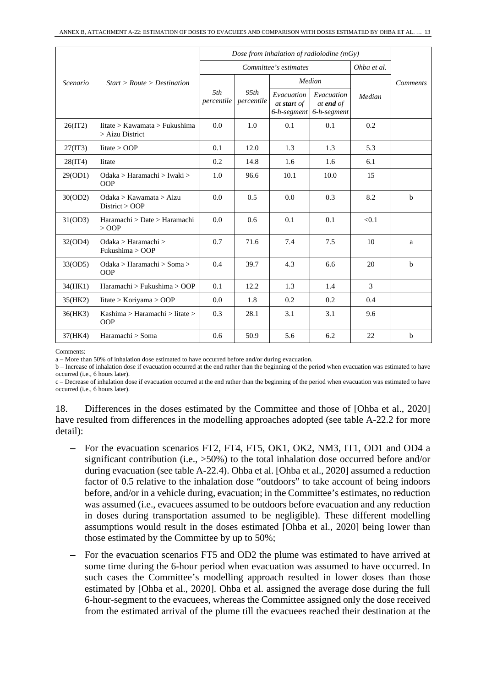|          |                                                    | Dose from inhalation of radioiodine $(mGy)$ |                       |                                          |                                        |        |                 |
|----------|----------------------------------------------------|---------------------------------------------|-----------------------|------------------------------------------|----------------------------------------|--------|-----------------|
|          |                                                    |                                             | Committee's estimates | Ohba et al.                              |                                        |        |                 |
| Scenario | Start > Route > Destination                        |                                             |                       | Median                                   |                                        |        | <b>Comments</b> |
|          |                                                    | 5th<br>percentile                           | 95th<br>percentile    | Evacuation<br>at start of<br>6-h-segment | Evacuation<br>at end of<br>6-h-segment | Median |                 |
| 26(1T2)  | litate > Kawamata > Fukushima<br>$>$ Aizu District | 0.0                                         | 1.0                   | 0.1                                      | 0.1                                    | 0.2    |                 |
| 27(1T3)  | litate > OOP                                       | 0.1                                         | 12.0                  | 1.3                                      | 1.3                                    | 5.3    |                 |
| 28(1T4)  | <b>I</b> itate                                     | 0.2                                         | 14.8                  | 1.6                                      | 1.6                                    | 6.1    |                 |
| 29(OD1)  | Odaka > Haramachi > Iwaki ><br><b>OOP</b>          | 1.0                                         | 96.6                  | 10.1                                     | 10.0                                   | 15     |                 |
| 30(OD2)  | Odaka > Kawamata > Aizu<br>District > OOP          | 0.0                                         | 0.5                   | 0.0                                      | 0.3                                    | 8.2    | $\mathbf b$     |
| 31(OD3)  | Haramachi > Date > Haramachi<br>$>$ OOP            | 0.0                                         | $0.6^{\circ}$         | 0.1                                      | 0.1                                    | < 0.1  |                 |
| 32(OD4)  | Odaka > Haramachi ><br>Fukushima > OOP             | 0.7                                         | 71.6                  | 7.4                                      | 7.5                                    | 10     | a               |
| 33(OD5)  | Odaka > Haramachi > Soma ><br><b>OOP</b>           | 0.4                                         | 39.7                  | 4.3                                      | 6.6                                    | 20     | h               |
| 34(HK1)  | Haramachi > Fukushima > OOP                        | 0.1                                         | 12.2                  | 1.3                                      | 1.4                                    | 3      |                 |
| 35(HK2)  | litate > Koriyama > OOP                            | 0.0                                         | 1.8                   | 0.2                                      | 0.2                                    | 0.4    |                 |
| 36(HK3)  | Kashima > Haramachi > Iitate ><br><b>OOP</b>       | 0.3                                         | 28.1                  | 3.1                                      | 3.1                                    | 9.6    |                 |
| 37(HK4)  | Haramachi > Soma                                   | 0.6                                         | 50.9                  | 5.6                                      | 6.2                                    | 22     | $\mathbf b$     |

Comments:

a – More than 50% of inhalation dose estimated to have occurred before and/or during evacuation.

b – Increase of inhalation dose if evacuation occurred at the end rather than the beginning of the period when evacuation was estimated to have occurred (i.e., 6 hours later).

c – Decrease of inhalation dose if evacuation occurred at the end rather than the beginning of the period when evacuation was estimated to have occurred (i.e., 6 hours later).

18. Differences in the doses estimated by the Committee and those of [Ohba et al., 2020] have resulted from differences in the modelling approaches adopted (see table A-22.2 for more detail):

- − For the evacuation scenarios FT2, FT4, FT5, OK1, OK2, NM3, IT1, OD1 and OD4 a significant contribution (i.e., >50%) to the total inhalation dose occurred before and/or during evacuation (see table A-22.4). Ohba et al. [Ohba et al., 2020] assumed a reduction factor of 0.5 relative to the inhalation dose "outdoors" to take account of being indoors before, and/or in a vehicle during, evacuation; in the Committee's estimates, no reduction was assumed (i.e., evacuees assumed to be outdoors before evacuation and any reduction in doses during transportation assumed to be negligible). These different modelling assumptions would result in the doses estimated [Ohba et al., 2020] being lower than those estimated by the Committee by up to 50%;
- For the evacuation scenarios FT5 and OD2 the plume was estimated to have arrived at some time during the 6-hour period when evacuation was assumed to have occurred. In such cases the Committee's modelling approach resulted in lower doses than those estimated by [Ohba et al., 2020]. Ohba et al. assigned the average dose during the full 6-hour-segment to the evacuees, whereas the Committee assigned only the dose received from the estimated arrival of the plume till the evacuees reached their destination at the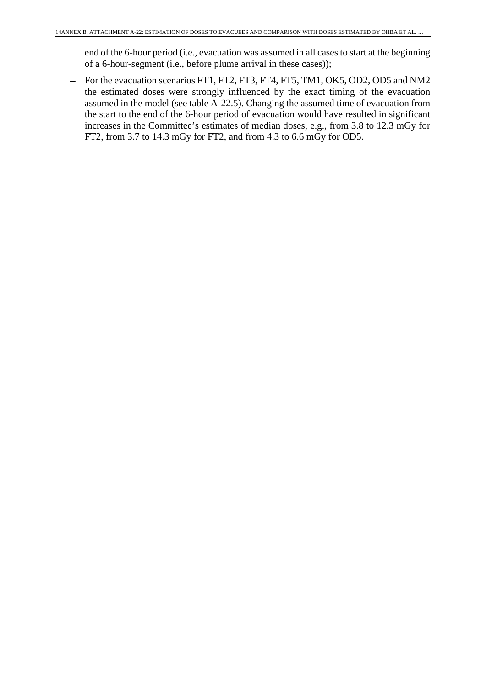end of the 6-hour period (i.e., evacuation was assumed in all cases to start at the beginning of a 6-hour-segment (i.e., before plume arrival in these cases));

− For the evacuation scenarios FT1, FT2, FT3, FT4, FT5, TM1, OK5, OD2, OD5 and NM2 the estimated doses were strongly influenced by the exact timing of the evacuation assumed in the model (see table A-22.5). Changing the assumed time of evacuation from the start to the end of the 6-hour period of evacuation would have resulted in significant increases in the Committee's estimates of median doses, e.g., from 3.8 to 12.3 mGy for FT2, from 3.7 to 14.3 mGy for FT2, and from 4.3 to 6.6 mGy for OD5.